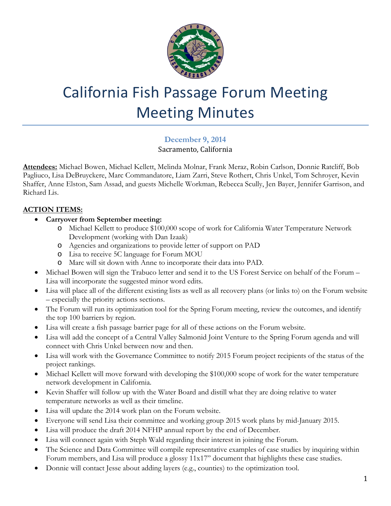

## California Fish Passage Forum Meeting Meeting Minutes

## **December 9, 2014** Sacramento, California

**Attendees:** Michael Bowen, Michael Kellett, Melinda Molnar, Frank Meraz, Robin Carlson, Donnie Ratcliff, Bob Pagliuco, Lisa DeBruyckere, Marc Commandatore, Liam Zarri, Steve Rothert, Chris Unkel, Tom Schroyer, Kevin Shaffer, Anne Elston, Sam Assad, and guests Michelle Workman, Rebecca Scully, Jen Bayer, Jennifer Garrison, and Richard Lis.

## **ACTION ITEMS:**

- **Carryover from September meeting:** 
	- o Michael Kellett to produce \$100,000 scope of work for California Water Temperature Network Development (working with Dan Izaak)
	- o Agencies and organizations to provide letter of support on PAD
	- o Lisa to receive 5C language for Forum MOU
	- o Marc will sit down with Anne to incorporate their data into PAD.
- Michael Bowen will sign the Trabuco letter and send it to the US Forest Service on behalf of the Forum Lisa will incorporate the suggested minor word edits.
- Lisa will place all of the different existing lists as well as all recovery plans (or links to) on the Forum website – especially the priority actions sections.
- The Forum will run its optimization tool for the Spring Forum meeting, review the outcomes, and identify the top 100 barriers by region.
- Lisa will create a fish passage barrier page for all of these actions on the Forum website.
- Lisa will add the concept of a Central Valley Salmonid Joint Venture to the Spring Forum agenda and will connect with Chris Unkel between now and then.
- Lisa will work with the Governance Committee to notify 2015 Forum project recipients of the status of the project rankings.
- Michael Kellett will move forward with developing the \$100,000 scope of work for the water temperature network development in California.
- Kevin Shaffer will follow up with the Water Board and distill what they are doing relative to water temperature networks as well as their timeline.
- Lisa will update the 2014 work plan on the Forum website.
- Everyone will send Lisa their committee and working group 2015 work plans by mid-January 2015.
- Lisa will produce the draft 2014 NFHP annual report by the end of December.
- Lisa will connect again with Steph Wald regarding their interest in joining the Forum.
- The Science and Data Committee will compile representative examples of case studies by inquiring within Forum members, and Lisa will produce a glossy 11x17" document that highlights these case studies.
- Donnie will contact Jesse about adding layers (e.g., counties) to the optimization tool.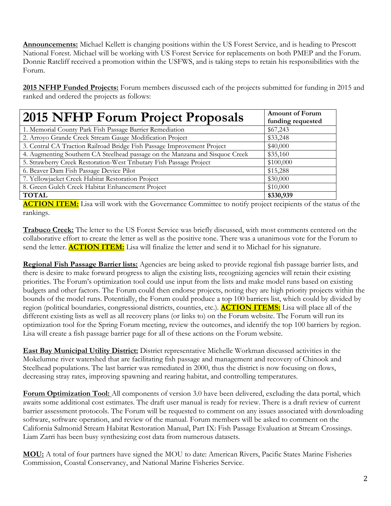**Announcements:** Michael Kellett is changing positions within the US Forest Service, and is heading to Prescott National Forest. Michael will be working with US Forest Service for replacements on both PMEP and the Forum. Donnie Ratcliff received a promotion within the USFWS, and is taking steps to retain his responsibilities with the Forum.

**2015 NFHP Funded Projects:** Forum members discussed each of the projects submitted for funding in 2015 and ranked and ordered the projects as follows:

| <b>2015 NFHP Forum Project Proposals</b>                                     | <b>Amount of Forum</b><br>funding requested |
|------------------------------------------------------------------------------|---------------------------------------------|
| 1. Memorial County Park Fish Passage Barrier Remediation                     | \$67,243                                    |
| 2. Arroyo Grande Creek Stream Gauge Modification Project                     | \$33,248                                    |
| 3. Central CA Traction Railroad Bridge Fish Passage Improvement Project      | \$40,000                                    |
| 4. Augmenting Southern CA Steelhead passage on the Manzana and Sisquoc Creek | \$35,160                                    |
| 5. Strawberry Creek Restoration-West Tributary Fish Passage Project          | \$100,000                                   |
| 6. Beaver Dam Fish Passage Device Pilot                                      | \$15,288                                    |
| 7. Yellowjacket Creek Habitat Restoration Project                            | \$30,000                                    |
| 8. Green Gulch Creek Habitat Enhancement Project                             | \$10,000                                    |
| <b>TOTAL</b>                                                                 | \$330,939                                   |

**ACTION ITEM:** Lisa will work with the Governance Committee to notify project recipients of the status of the rankings.

**Trabuco Creek:** The letter to the US Forest Service was briefly discussed, with most comments centered on the collaborative effort to create the letter as well as the positive tone. There was a unanimous vote for the Forum to send the letter. **ACTION ITEM:** Lisa will finalize the letter and send it to Michael for his signature.

**Regional Fish Passage Barrier lists:** Agencies are being asked to provide regional fish passage barrier lists, and there is desire to make forward progress to align the existing lists, recognizing agencies will retain their existing priorities. The Forum's optimization tool could use input from the lists and make model runs based on existing budgets and other factors. The Forum could then endorse projects, noting they are high priority projects within the bounds of the model runs. Potentially, the Forum could produce a top 100 barriers list, which could by divided by region (political boundaries, congressional districts, counties, etc.). **ACTION ITEMS:** Lisa will place all of the different existing lists as well as all recovery plans (or links to) on the Forum website. The Forum will run its optimization tool for the Spring Forum meeting, review the outcomes, and identify the top 100 barriers by region. Lisa will create a fish passage barrier page for all of these actions on the Forum website.

**East Bay Municipal Utility District:** District representative Michelle Workman discussed activities in the Mokelumne river watershed that are facilitating fish passage and management and recovery of Chinook and Steelhead populations. The last barrier was remediated in 2000, thus the district is now focusing on flows, decreasing stray rates, improving spawning and rearing habitat, and controlling temperatures.

**Forum Optimization Tool:** All components of version 3.0 have been delivered, excluding the data portal, which awaits some additional cost estimates. The draft user manual is ready for review. There is a draft review of current barrier assessment protocols. The Forum will be requested to comment on any issues associated with downloading software, software operation, and review of the manual. Forum members will be asked to comment on the California Salmonid Stream Habitat Restoration Manual, Part IX: Fish Passage Evaluation at Stream Crossings. Liam Zarri has been busy synthesizing cost data from numerous datasets.

**MOU:** A total of four partners have signed the MOU to date: American Rivers, Pacific States Marine Fisheries Commission, Coastal Conservancy, and National Marine Fisheries Service.